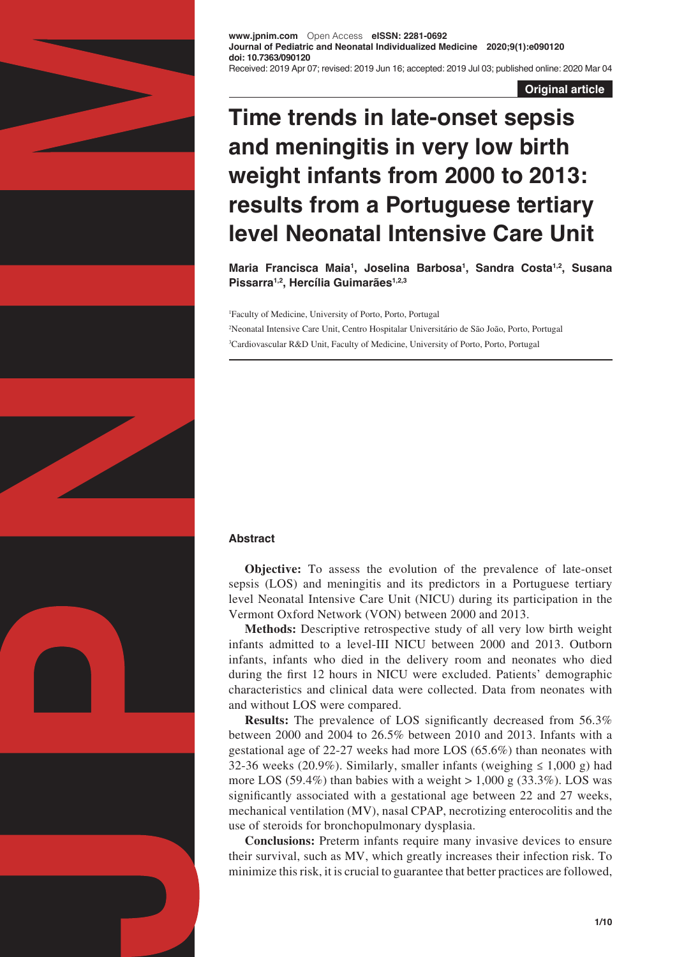

**www.jpnim.com** Open Access **eISSN: 2281-0692 Journal of Pediatric and Neonatal Individualized Medicine 2020;9(1):e090120 doi: 10.7363/090120** Received: 2019 Apr 07; revised: 2019 Jun 16; accepted: 2019 Jul 03; published online: 2020 Mar 04

**Original article**

# **Time trends in late-onset sepsis and meningitis in very low birth weight infants from 2000 to 2013: results from a Portuguese tertiary level Neonatal Intensive Care Unit**

**Maria Francisca Maia1 , Joselina Barbosa1 , Sandra Costa1,2, Susana Pissarra1,2, Hercília Guimarães1,2,3**

1 Faculty of Medicine, University of Porto, Porto, Portugal 2 Neonatal Intensive Care Unit, Centro Hospitalar Universitário de São João, Porto, Portugal 3 Cardiovascular R&D Unit, Faculty of Medicine, University of Porto, Porto, Portugal

## **Abstract**

**Objective:** To assess the evolution of the prevalence of late-onset sepsis (LOS) and meningitis and its predictors in a Portuguese tertiary level Neonatal Intensive Care Unit (NICU) during its participation in the Vermont Oxford Network (VON) between 2000 and 2013.

**Methods:** Descriptive retrospective study of all very low birth weight infants admitted to a level-III NICU between 2000 and 2013. Outborn infants, infants who died in the delivery room and neonates who died during the first 12 hours in NICU were excluded. Patients' demographic characteristics and clinical data were collected. Data from neonates with and without LOS were compared.

**Results:** The prevalence of LOS significantly decreased from 56.3% between 2000 and 2004 to 26.5% between 2010 and 2013. Infants with a gestational age of 22-27 weeks had more LOS (65.6%) than neonates with 32-36 weeks (20.9%). Similarly, smaller infants (weighing  $\leq 1,000$  g) had more LOS (59.4%) than babies with a weight  $> 1,000$  g (33.3%). LOS was significantly associated with a gestational age between 22 and 27 weeks, mechanical ventilation (MV), nasal CPAP, necrotizing enterocolitis and the use of steroids for bronchopulmonary dysplasia.

**Conclusions:** Preterm infants require many invasive devices to ensure their survival, such as MV, which greatly increases their infection risk. To minimize this risk, it is crucial to guarantee that better practices are followed,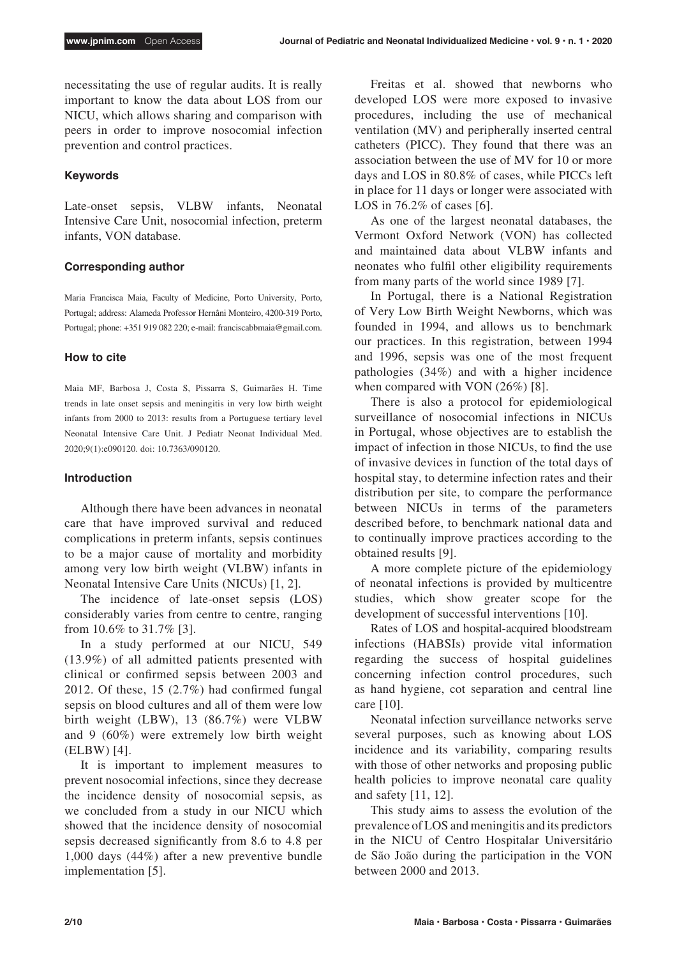necessitating the use of regular audits. It is really important to know the data about LOS from our NICU, which allows sharing and comparison with peers in order to improve nosocomial infection prevention and control practices.

## **Keywords**

Late-onset sepsis, VLBW infants, Neonatal Intensive Care Unit, nosocomial infection, preterm infants, VON database.

## **Corresponding author**

Maria Francisca Maia, Faculty of Medicine, Porto University, Porto, Portugal; address: Alameda Professor Hernâni Monteiro, 4200-319 Porto, Portugal; phone: +351 919 082 220; e-mail: franciscabbmaia@gmail.com.

#### **How to cite**

Maia MF, Barbosa J, Costa S, Pissarra S, Guimarães H. Time trends in late onset sepsis and meningitis in very low birth weight infants from 2000 to 2013: results from a Portuguese tertiary level Neonatal Intensive Care Unit. J Pediatr Neonat Individual Med. 2020;9(1):e090120. doi: 10.7363/090120.

## **Introduction**

Although there have been advances in neonatal care that have improved survival and reduced complications in preterm infants, sepsis continues to be a major cause of mortality and morbidity among very low birth weight (VLBW) infants in Neonatal Intensive Care Units (NICUs) [1, 2].

The incidence of late-onset sepsis (LOS) considerably varies from centre to centre, ranging from 10.6% to 31.7% [3].

In a study performed at our NICU, 549 (13.9%) of all admitted patients presented with clinical or confirmed sepsis between 2003 and 2012. Of these, 15 (2.7%) had confirmed fungal sepsis on blood cultures and all of them were low birth weight (LBW), 13 (86.7%) were VLBW and 9 (60%) were extremely low birth weight (ELBW) [4].

It is important to implement measures to prevent nosocomial infections, since they decrease the incidence density of nosocomial sepsis, as we concluded from a study in our NICU which showed that the incidence density of nosocomial sepsis decreased significantly from 8.6 to 4.8 per 1,000 days (44%) after a new preventive bundle implementation [5].

Freitas et al. showed that newborns who developed LOS were more exposed to invasive procedures, including the use of mechanical ventilation (MV) and peripherally inserted central catheters (PICC). They found that there was an association between the use of MV for 10 or more days and LOS in 80.8% of cases, while PICCs left in place for 11 days or longer were associated with LOS in 76.2% of cases [6].

As one of the largest neonatal databases, the Vermont Oxford Network (VON) has collected and maintained data about VLBW infants and neonates who fulfil other eligibility requirements from many parts of the world since 1989 [7].

In Portugal, there is a National Registration of Very Low Birth Weight Newborns, which was founded in 1994, and allows us to benchmark our practices. In this registration, between 1994 and 1996, sepsis was one of the most frequent pathologies (34%) and with a higher incidence when compared with VON (26%) [8].

There is also a protocol for epidemiological surveillance of nosocomial infections in NICUs in Portugal, whose objectives are to establish the impact of infection in those NICUs, to find the use of invasive devices in function of the total days of hospital stay, to determine infection rates and their distribution per site, to compare the performance between NICUs in terms of the parameters described before, to benchmark national data and to continually improve practices according to the obtained results [9].

A more complete picture of the epidemiology of neonatal infections is provided by multicentre studies, which show greater scope for the development of successful interventions [10].

Rates of LOS and hospital-acquired bloodstream infections (HABSIs) provide vital information regarding the success of hospital guidelines concerning infection control procedures, such as hand hygiene, cot separation and central line care [10].

Neonatal infection surveillance networks serve several purposes, such as knowing about LOS incidence and its variability, comparing results with those of other networks and proposing public health policies to improve neonatal care quality and safety [11, 12].

This study aims to assess the evolution of the prevalence of LOS and meningitis and its predictors in the NICU of Centro Hospitalar Universitário de São João during the participation in the VON between 2000 and 2013.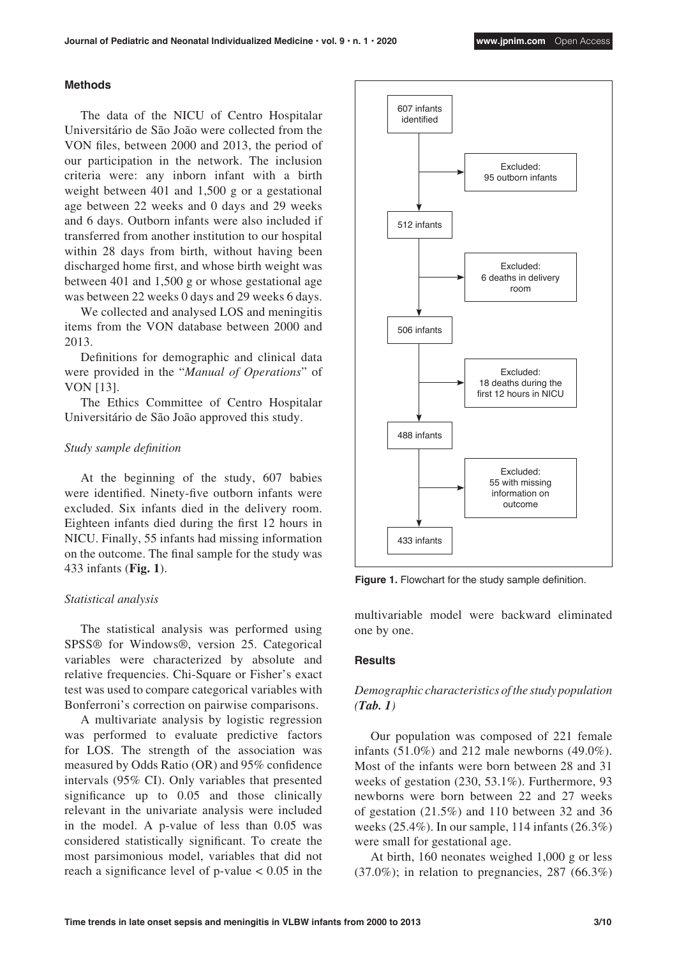#### **Methods**

The data of the NICU of Centro Hospitalar Universitário de São João were collected from the VON files, between 2000 and 2013, the period of our participation in the network. The inclusion criteria were: any inborn infant with a birth weight between 401 and 1,500 g or a gestational age between 22 weeks and 0 days and 29 weeks and 6 days. Outborn infants were also included if transferred from another institution to our hospital within 28 days from birth, without having been discharged home first, and whose birth weight was between 401 and 1,500 g or whose gestational age was between 22 weeks 0 days and 29 weeks 6 days.

We collected and analysed LOS and meningitis items from the VON database between 2000 and 2013.

Definitions for demographic and clinical data were provided in the "*Manual of Operations*" of VON [13].

The Ethics Committee of Centro Hospitalar Universitário de São João approved this study.

#### *Study sample definition*

At the beginning of the study, 607 babies were identified. Ninety-five outborn infants were excluded. Six infants died in the delivery room. Eighteen infants died during the first 12 hours in NICU. Finally, 55 infants had missing information on the outcome. The final sample for the study was 433 infants (**Fig. 1**).

#### *Statistical analysis*

The statistical analysis was performed using SPSS® for Windows®, version 25. Categorical variables were characterized by absolute and relative frequencies. Chi-Square or Fisher's exact test was used to compare categorical variables with Bonferroni's correction on pairwise comparisons.

A multivariate analysis by logistic regression was performed to evaluate predictive factors for LOS. The strength of the association was measured by Odds Ratio (OR) and 95% confidence intervals (95% CI). Only variables that presented significance up to 0.05 and those clinically relevant in the univariate analysis were included in the model. A p-value of less than 0.05 was considered statistically significant. To create the most parsimonious model, variables that did not reach a significance level of  $p$ -value  $< 0.05$  in the



**Figure 1.** Flowchart for the study sample definition.

multivariable model were backward eliminated one by one.

#### **Results**

# *Demographic characteristics of the study population (Tab. 1)*

Our population was composed of 221 female infants (51.0%) and 212 male newborns (49.0%). Most of the infants were born between 28 and 31 weeks of gestation (230, 53.1%). Furthermore, 93 newborns were born between 22 and 27 weeks of gestation (21.5%) and 110 between 32 and 36 weeks (25.4%). In our sample, 114 infants (26.3%) were small for gestational age.

At birth, 160 neonates weighed 1,000 g or less  $(37.0\%)$ ; in relation to pregnancies, 287  $(66.3\%)$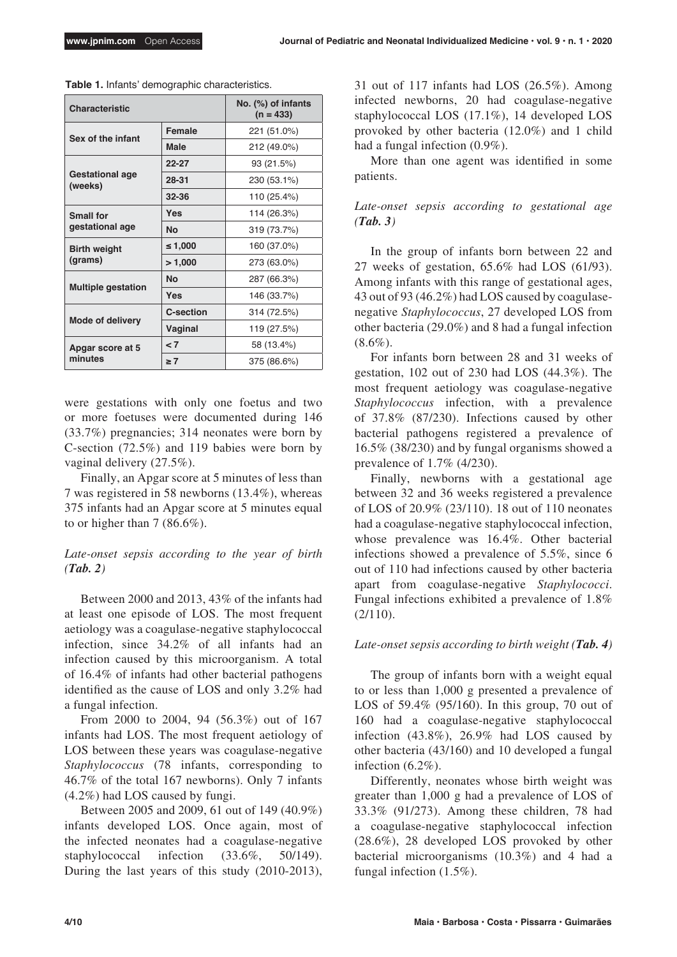| <b>Characteristic</b>               |                  | No. (%) of infants<br>$(n = 433)$ |  |  |
|-------------------------------------|------------------|-----------------------------------|--|--|
| Sex of the infant                   | Female           | 221 (51.0%)                       |  |  |
|                                     | <b>Male</b>      | 212 (49.0%)                       |  |  |
| <b>Gestational age</b><br>(weeks)   | $22 - 27$        | 93 (21.5%)                        |  |  |
|                                     | 28-31            | 230 (53.1%)                       |  |  |
|                                     | $32 - 36$        | 110 (25.4%)                       |  |  |
| <b>Small for</b><br>gestational age | <b>Yes</b>       | 114 (26.3%)                       |  |  |
|                                     | <b>No</b>        | 319 (73.7%)                       |  |  |
| <b>Birth weight</b><br>(grams)      | ≤ 1,000          | 160 (37.0%)                       |  |  |
|                                     | >1,000           | 273 (63.0%)                       |  |  |
| <b>Multiple gestation</b>           | <b>No</b>        | 287 (66.3%)                       |  |  |
|                                     | <b>Yes</b>       | 146 (33.7%)                       |  |  |
| <b>Mode of delivery</b>             | <b>C-section</b> | 314 (72.5%)                       |  |  |
|                                     | Vaginal          | 119 (27.5%)                       |  |  |
| Apgar score at 5<br>minutes         | $\leq 7$         | 58 (13.4%)                        |  |  |
|                                     | $\geq 7$         | 375 (86.6%)                       |  |  |

**Table 1.** Infants' demographic characteristics.

were gestations with only one foetus and two or more foetuses were documented during 146 (33.7%) pregnancies; 314 neonates were born by C-section (72.5%) and 119 babies were born by vaginal delivery (27.5%).

Finally, an Apgar score at 5 minutes of less than 7 was registered in 58 newborns (13.4%), whereas 375 infants had an Apgar score at 5 minutes equal to or higher than  $7 (86.6\%)$ .

# *Late-onset sepsis according to the year of birth (Tab. 2)*

Between 2000 and 2013, 43% of the infants had at least one episode of LOS. The most frequent aetiology was a coagulase-negative staphylococcal infection, since 34.2% of all infants had an infection caused by this microorganism. A total of 16.4% of infants had other bacterial pathogens identified as the cause of LOS and only 3.2% had a fungal infection.

From 2000 to 2004, 94 (56.3%) out of 167 infants had LOS. The most frequent aetiology of LOS between these years was coagulase-negative *Staphylococcus* (78 infants, corresponding to 46.7% of the total 167 newborns). Only 7 infants (4.2%) had LOS caused by fungi.

Between 2005 and 2009, 61 out of 149 (40.9%) infants developed LOS. Once again, most of the infected neonates had a coagulase-negative staphylococcal infection (33.6%, 50/149). During the last years of this study (2010-2013), 31 out of 117 infants had LOS (26.5%). Among infected newborns, 20 had coagulase-negative staphylococcal LOS (17.1%), 14 developed LOS provoked by other bacteria (12.0%) and 1 child had a fungal infection (0.9%).

More than one agent was identified in some patients.

# *Late-onset sepsis according to gestational age (Tab. 3)*

In the group of infants born between 22 and 27 weeks of gestation, 65.6% had LOS (61/93). Among infants with this range of gestational ages, 43 out of 93 (46.2%) had LOS caused by coagulasenegative *Staphylococcus*, 27 developed LOS from other bacteria (29.0%) and 8 had a fungal infection  $(8.6\%)$ .

For infants born between 28 and 31 weeks of gestation, 102 out of 230 had LOS (44.3%). The most frequent aetiology was coagulase-negative *Staphylococcus* infection, with a prevalence of 37.8% (87/230). Infections caused by other bacterial pathogens registered a prevalence of 16.5% (38/230) and by fungal organisms showed a prevalence of 1.7% (4/230).

Finally, newborns with a gestational age between 32 and 36 weeks registered a prevalence of LOS of 20.9% (23/110). 18 out of 110 neonates had a coagulase-negative staphylococcal infection, whose prevalence was 16.4%. Other bacterial infections showed a prevalence of 5.5%, since 6 out of 110 had infections caused by other bacteria apart from coagulase-negative *Staphylococci*. Fungal infections exhibited a prevalence of 1.8%  $(2/110).$ 

#### *Late-onset sepsis according to birth weight (Tab. 4)*

The group of infants born with a weight equal to or less than 1,000 g presented a prevalence of LOS of 59.4% (95/160). In this group, 70 out of 160 had a coagulase-negative staphylococcal infection (43.8%), 26.9% had LOS caused by other bacteria (43/160) and 10 developed a fungal infection (6.2%).

Differently, neonates whose birth weight was greater than 1,000 g had a prevalence of LOS of 33.3% (91/273). Among these children, 78 had a coagulase-negative staphylococcal infection (28.6%), 28 developed LOS provoked by other bacterial microorganisms (10.3%) and 4 had a fungal infection (1.5%).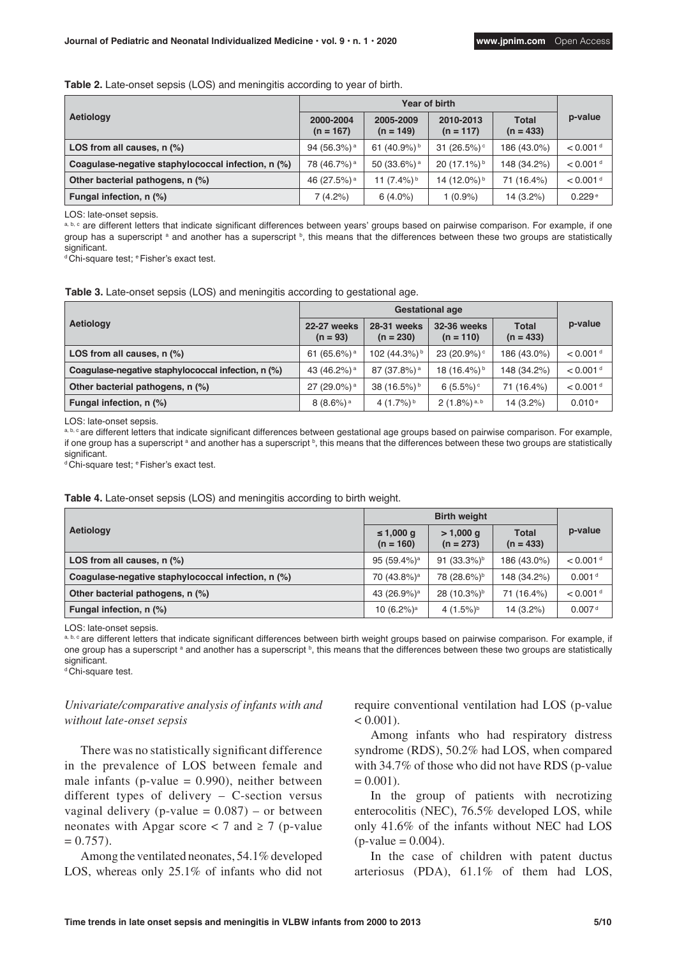| Aetiology                                          | 2000-2004<br>$(n = 167)$ | 2005-2009<br>$(n = 149)$   | 2010-2013<br>$(n = 117)$   | <b>Total</b><br>$(n = 433)$ | p-value                |  |
|----------------------------------------------------|--------------------------|----------------------------|----------------------------|-----------------------------|------------------------|--|
| LOS from all causes, n (%)                         | 94 (56.3%) <sup>a</sup>  | 61 $(40.9\%)$ <sup>b</sup> | 31 $(26.5%)$               | 186 (43.0%)                 | $< 0.001$ <sup>d</sup> |  |
| Coaquiase-negative staphylococcal infection, n (%) | 78 (46.7%) <sup>a</sup>  | 50 (33.6%) <sup>a</sup>    | $20(17.1\%)$               | 148 (34.2%)                 | $< 0.001$ <sup>d</sup> |  |
| Other bacterial pathogens, n (%)                   | 46 (27.5%) <sup>a</sup>  | 11 (7.4%) b                | 14 $(12.0\%)$ <sup>b</sup> | 71 (16.4%)                  | $< 0.001$ <sup>d</sup> |  |
| Fungal infection, n (%)                            | 7(4.2%)                  | $6(4.0\%)$                 | $1(0.9\%)$                 | 14 (3.2%)                   | 0.229e                 |  |

LOS: late-onset sepsis.

a, b, c are different letters that indicate significant differences between years' groups based on pairwise comparison. For example, if one group has a superscript <sup>a</sup> and another has a superscript <sup>b</sup>, this means that the differences between these two groups are statistically significant

<sup>d</sup> Chi-square test; <sup>e</sup> Fisher's exact test.

**Table 3.** Late-onset sepsis (LOS) and meningitis according to gestational age.

| Aetiology                                          | 22-27 weeks<br>$(n = 93)$ | 28-31 weeks<br>$(n = 230)$ | <b>32-36 weeks</b><br>$(n = 110)$ | <b>Total</b><br>$(n = 433)$ | p-value                |  |
|----------------------------------------------------|---------------------------|----------------------------|-----------------------------------|-----------------------------|------------------------|--|
| LOS from all causes, n (%)                         | 61 (65.6%) <sup>a</sup>   | 102 (44.3%) <sup>b</sup>   | $23(20.9\%)$                      | 186 (43.0%)                 | $< 0.001$ <sup>d</sup> |  |
| Coagulase-negative staphylococcal infection, n (%) | 43 (46.2%) <sup>a</sup>   | 87 (37.8%) <sup>a</sup>    | 18 (16.4%) <sup>b</sup>           | 148 (34.2%)                 | $< 0.001$ <sup>d</sup> |  |
| Other bacterial pathogens, n (%)                   | 27 (29.0%) <sup>a</sup>   | 38 (16.5%) b               | 6 $(5.5\%)$ <sup>c</sup>          | 71 (16.4%)                  | $< 0.001$ <sup>d</sup> |  |
| Fungal infection, n (%)                            | $8(8.6\%)$ <sup>a</sup>   | 4 $(1.7\%)$ <sup>b</sup>   | $2(1.8\%)$ <sup>a, b</sup>        | 14 (3.2%)                   | 0.010e                 |  |

LOS: late-onset sepsis.

a, b, c are different letters that indicate significant differences between gestational age groups based on pairwise comparison. For example, if one group has a superscript ª and another has a superscript ʰ, this means that the differences between these two groups are statistically significant

<sup>d</sup> Chi-square test; eFisher's exact test.

**Table 4.** Late-onset sepsis (LOS) and meningitis according to birth weight.

| Aetiology                                          | ≤ 1,000 g<br>$(n = 160)$  | $> 1,000$ q<br>$(n = 273)$ | <b>Total</b><br>$(n = 433)$ | p-value                |  |
|----------------------------------------------------|---------------------------|----------------------------|-----------------------------|------------------------|--|
| LOS from all causes, n (%)                         | 95 $(59.4%)$ <sup>a</sup> | 91 $(33.3\%)^b$            | 186 (43.0%)                 | $< 0.001$ <sup>d</sup> |  |
| Coaquiase-negative staphylococcal infection, n (%) | 70 (43.8%) <sup>a</sup>   | 78 (28.6%) <sup>b</sup>    | 148 (34.2%)                 | 0.001 <sup>d</sup>     |  |
| Other bacterial pathogens, n (%)                   | 43 (26.9%) <sup>a</sup>   | 28 (10.3%) <sup>b</sup>    | 71 (16.4%)                  | $< 0.001$ <sup>d</sup> |  |
| Fungal infection, n (%)                            | 10 $(6.2\%)$ <sup>a</sup> | 4 $(1.5\%)^b$              | 14 (3.2%)                   | 0.007 <sup>d</sup>     |  |

LOS: late-onset sepsis.

a, b, c are different letters that indicate significant differences between birth weight groups based on pairwise comparison. For example, if one group has a superscript <sup>a</sup> and another has a superscript <sup>b</sup>, this means that the differences between these two groups are statistically significant.

d Chi-square test.

# *Univariate/comparative analysis of infants with and without late-onset sepsis*

There was no statistically significant difference in the prevalence of LOS between female and male infants ( $p$ -value = 0.990), neither between different types of delivery – C-section versus vaginal delivery (p-value =  $0.087$ ) – or between neonates with Apgar score  $<$  7 and  $\geq$  7 (p-value  $= 0.757$ .

Among the ventilated neonates, 54.1% developed LOS, whereas only 25.1% of infants who did not require conventional ventilation had LOS (p-value  $< 0.001$ ).

Among infants who had respiratory distress syndrome (RDS), 50.2% had LOS, when compared with 34.7% of those who did not have RDS (p-value  $= 0.001$ .

In the group of patients with necrotizing enterocolitis (NEC), 76.5% developed LOS, while only 41.6% of the infants without NEC had LOS  $(p-value = 0.004)$ .

In the case of children with patent ductus arteriosus (PDA), 61.1% of them had LOS,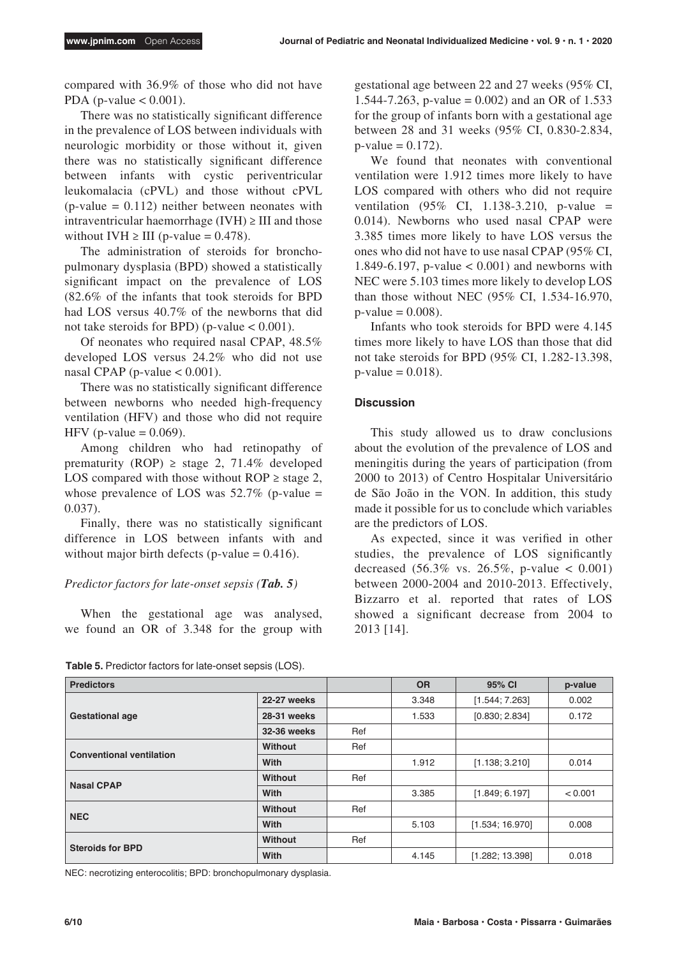compared with 36.9% of those who did not have PDA (p-value  $< 0.001$ ).

There was no statistically significant difference in the prevalence of LOS between individuals with neurologic morbidity or those without it, given there was no statistically significant difference between infants with cystic periventricular leukomalacia (cPVL) and those without cPVL  $(p-value = 0.112)$  neither between neonates with intraventricular haemorrhage (IVH)  $\geq$  III and those without IVH  $\geq$  III (p-value = 0.478).

The administration of steroids for bronchopulmonary dysplasia (BPD) showed a statistically significant impact on the prevalence of LOS (82.6% of the infants that took steroids for BPD had LOS versus 40.7% of the newborns that did not take steroids for BPD) (p-value  $< 0.001$ ).

Of neonates who required nasal CPAP, 48.5% developed LOS versus 24.2% who did not use nasal CPAP (p-value  $< 0.001$ ).

There was no statistically significant difference between newborns who needed high-frequency ventilation (HFV) and those who did not require HFV (p-value  $= 0.069$ ).

Among children who had retinopathy of prematurity (ROP)  $\geq$  stage 2, 71.4% developed LOS compared with those without  $ROP \geq stage 2$ , whose prevalence of LOS was  $52.7\%$  (p-value = 0.037).

Finally, there was no statistically significant difference in LOS between infants with and without major birth defects (p-value  $= 0.416$ ).

## *Predictor factors for late-onset sepsis (Tab. 5)*

When the gestational age was analysed, we found an OR of 3.348 for the group with

**Table 5.** Predictor factors for late-onset sepsis (LOS).

gestational age between 22 and 27 weeks (95% CI, 1.544-7.263, p-value =  $0.002$ ) and an OR of 1.533 for the group of infants born with a gestational age between 28 and 31 weeks (95% CI, 0.830-2.834,  $p-value = 0.172$ .

We found that neonates with conventional ventilation were 1.912 times more likely to have LOS compared with others who did not require ventilation  $(95\% \text{ CI. } 1.138-3.210 \text{ p-value } =$ 0.014). Newborns who used nasal CPAP were 3.385 times more likely to have LOS versus the ones who did not have to use nasal CPAP (95% CI, 1.849-6.197, p-value < 0.001) and newborns with NEC were 5.103 times more likely to develop LOS than those without NEC (95% CI, 1.534-16.970,  $p$ -value = 0.008).

Infants who took steroids for BPD were 4.145 times more likely to have LOS than those that did not take steroids for BPD (95% CI, 1.282-13.398,  $p$ -value = 0.018).

## **Discussion**

This study allowed us to draw conclusions about the evolution of the prevalence of LOS and meningitis during the years of participation (from 2000 to 2013) of Centro Hospitalar Universitário de São João in the VON. In addition, this study made it possible for us to conclude which variables are the predictors of LOS.

As expected, since it was verified in other studies, the prevalence of LOS significantly decreased  $(56.3\% \text{ vs. } 26.5\%, \text{ p-value } < 0.001)$ between 2000-2004 and 2010-2013. Effectively, Bizzarro et al. reported that rates of LOS showed a significant decrease from 2004 to 2013 [14].

| <b>Predictors</b>               |                |     | <b>OR</b> | 95% CI          | p-value |
|---------------------------------|----------------|-----|-----------|-----------------|---------|
| <b>Gestational age</b>          | 22-27 weeks    |     | 3.348     | [1.544; 7.263]  | 0.002   |
|                                 | 28-31 weeks    |     | 1.533     | [0.830; 2.834]  | 0.172   |
|                                 | 32-36 weeks    | Ref |           |                 |         |
| <b>Conventional ventilation</b> | Without        | Ref |           |                 |         |
|                                 | With           |     | 1.912     | [1.138; 3.210]  | 0.014   |
| <b>Nasal CPAP</b>               | Without        | Ref |           |                 |         |
|                                 | With           |     | 3.385     | [1.849; 6.197]  | < 0.001 |
| <b>NEC</b>                      | <b>Without</b> | Ref |           |                 |         |
|                                 | With           |     | 5.103     | [1.534; 16.970] | 0.008   |
| <b>Steroids for BPD</b>         | <b>Without</b> | Ref |           |                 |         |
|                                 | With           |     | 4.145     | [1.282; 13.398] | 0.018   |

NEC: necrotizing enterocolitis; BPD: bronchopulmonary dysplasia.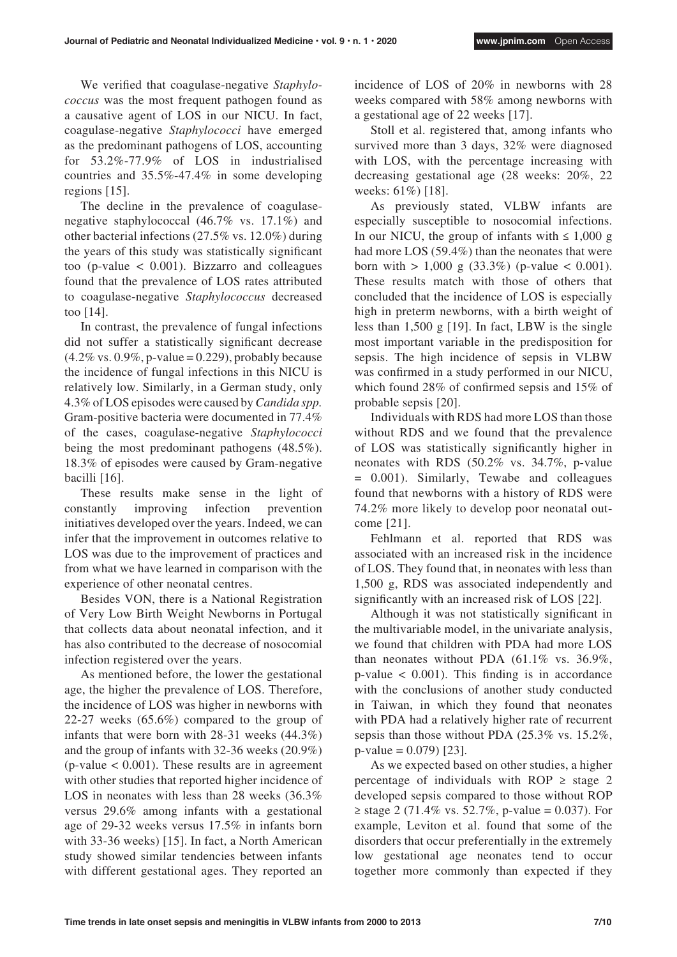We verified that coagulase-negative *Staphylococcus* was the most frequent pathogen found as a causative agent of LOS in our NICU. In fact, coagulase-negative *Staphylococci* have emerged as the predominant pathogens of LOS, accounting for 53.2%-77.9% of LOS in industrialised countries and 35.5%-47.4% in some developing regions [15].

The decline in the prevalence of coagulasenegative staphylococcal (46.7% vs. 17.1%) and other bacterial infections (27.5% vs. 12.0%) during the years of this study was statistically significant too (p-value < 0.001). Bizzarro and colleagues found that the prevalence of LOS rates attributed to coagulase-negative *Staphylococcus* decreased too [14].

In contrast, the prevalence of fungal infections did not suffer a statistically significant decrease  $(4.2\% \text{ vs. } 0.9\%, \text{p-value} = 0.229)$ , probably because the incidence of fungal infections in this NICU is relatively low. Similarly, in a German study, only 4.3% of LOS episodes were caused by *Candida spp.* Gram-positive bacteria were documented in 77.4% of the cases, coagulase-negative *Staphylococci* being the most predominant pathogens (48.5%). 18.3% of episodes were caused by Gram-negative bacilli [16].

These results make sense in the light of constantly improving infection prevention initiatives developed over the years. Indeed, we can infer that the improvement in outcomes relative to LOS was due to the improvement of practices and from what we have learned in comparison with the experience of other neonatal centres.

Besides VON, there is a National Registration of Very Low Birth Weight Newborns in Portugal that collects data about neonatal infection, and it has also contributed to the decrease of nosocomial infection registered over the years.

As mentioned before, the lower the gestational age, the higher the prevalence of LOS. Therefore, the incidence of LOS was higher in newborns with 22-27 weeks (65.6%) compared to the group of infants that were born with 28-31 weeks (44.3%) and the group of infants with 32-36 weeks (20.9%)  $(p$ -value  $< 0.001$ ). These results are in agreement with other studies that reported higher incidence of LOS in neonates with less than 28 weeks (36.3% versus 29.6% among infants with a gestational age of 29-32 weeks versus 17.5% in infants born with 33-36 weeks) [15]. In fact, a North American study showed similar tendencies between infants with different gestational ages. They reported an

incidence of LOS of 20% in newborns with 28 weeks compared with 58% among newborns with a gestational age of 22 weeks [17].

Stoll et al. registered that, among infants who survived more than 3 days, 32% were diagnosed with LOS, with the percentage increasing with decreasing gestational age (28 weeks: 20%, 22 weeks: 61%) [18].

As previously stated, VLBW infants are especially susceptible to nosocomial infections. In our NICU, the group of infants with  $\leq 1,000$  g had more LOS (59.4%) than the neonates that were born with  $> 1,000 \text{ g} (33.3\%)$  (p-value  $< 0.001$ ). These results match with those of others that concluded that the incidence of LOS is especially high in preterm newborns, with a birth weight of less than 1,500 g [19]. In fact, LBW is the single most important variable in the predisposition for sepsis. The high incidence of sepsis in VLBW was confirmed in a study performed in our NICU, which found 28% of confirmed sepsis and 15% of probable sepsis [20].

Individuals with RDS had more LOS than those without RDS and we found that the prevalence of LOS was statistically significantly higher in neonates with RDS (50.2% vs. 34.7%, p-value = 0.001). Similarly, Tewabe and colleagues found that newborns with a history of RDS were 74.2% more likely to develop poor neonatal outcome [21].

Fehlmann et al. reported that RDS was associated with an increased risk in the incidence of LOS. They found that, in neonates with less than 1,500 g, RDS was associated independently and significantly with an increased risk of LOS [22].

Although it was not statistically significant in the multivariable model, in the univariate analysis, we found that children with PDA had more LOS than neonates without PDA (61.1% vs. 36.9%,  $p$ -value  $\lt$  0.001). This finding is in accordance with the conclusions of another study conducted in Taiwan, in which they found that neonates with PDA had a relatively higher rate of recurrent sepsis than those without PDA (25.3% vs. 15.2%,  $p$ -value = 0.079) [23].

As we expected based on other studies, a higher percentage of individuals with ROP  $\geq$  stage 2 developed sepsis compared to those without ROP ≥ stage 2 (71.4% vs. 52.7%, p-value = 0.037). For example, Leviton et al. found that some of the disorders that occur preferentially in the extremely low gestational age neonates tend to occur together more commonly than expected if they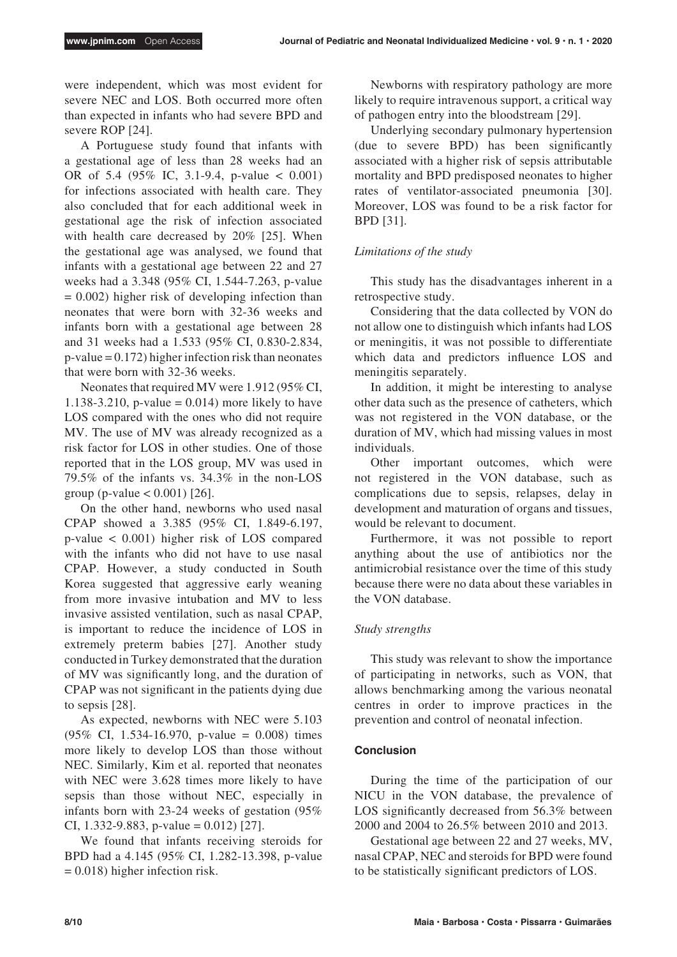were independent, which was most evident for severe NEC and LOS. Both occurred more often than expected in infants who had severe BPD and severe ROP [24].

A Portuguese study found that infants with a gestational age of less than 28 weeks had an OR of 5.4 (95% IC, 3.1-9.4, p-value < 0.001) for infections associated with health care. They also concluded that for each additional week in gestational age the risk of infection associated with health care decreased by 20% [25]. When the gestational age was analysed, we found that infants with a gestational age between 22 and 27 weeks had a 3.348 (95% CI, 1.544-7.263, p-value  $= 0.002$ ) higher risk of developing infection than neonates that were born with 32-36 weeks and infants born with a gestational age between 28 and 31 weeks had a 1.533 (95% CI, 0.830-2.834,  $p-value = 0.172$ ) higher infection risk than neonates that were born with 32-36 weeks.

Neonates that required MV were 1.912 (95% CI, 1.138-3.210, p-value =  $0.014$ ) more likely to have LOS compared with the ones who did not require MV. The use of MV was already recognized as a risk factor for LOS in other studies. One of those reported that in the LOS group, MV was used in 79.5% of the infants vs. 34.3% in the non-LOS group (p-value  $< 0.001$ ) [26].

On the other hand, newborns who used nasal CPAP showed a 3.385 (95% CI, 1.849-6.197, p-value < 0.001) higher risk of LOS compared with the infants who did not have to use nasal CPAP. However, a study conducted in South Korea suggested that aggressive early weaning from more invasive intubation and MV to less invasive assisted ventilation, such as nasal CPAP, is important to reduce the incidence of LOS in extremely preterm babies [27]. Another study conducted in Turkey demonstrated that the duration of MV was significantly long, and the duration of CPAP was not significant in the patients dying due to sepsis [28].

As expected, newborns with NEC were 5.103 (95% CI, 1.534-16.970, p-value = 0.008) times more likely to develop LOS than those without NEC. Similarly, Kim et al. reported that neonates with NEC were 3.628 times more likely to have sepsis than those without NEC, especially in infants born with 23-24 weeks of gestation (95% CI, 1.332-9.883, p-value =  $0.012$ ) [27].

We found that infants receiving steroids for BPD had a 4.145 (95% CI, 1.282-13.398, p-value  $= 0.018$ ) higher infection risk.

Newborns with respiratory pathology are more likely to require intravenous support, a critical way of pathogen entry into the bloodstream [29].

Underlying secondary pulmonary hypertension (due to severe BPD) has been significantly associated with a higher risk of sepsis attributable mortality and BPD predisposed neonates to higher rates of ventilator-associated pneumonia [30]. Moreover, LOS was found to be a risk factor for BPD [31].

# *Limitations of the study*

This study has the disadvantages inherent in a retrospective study.

Considering that the data collected by VON do not allow one to distinguish which infants had LOS or meningitis, it was not possible to differentiate which data and predictors influence LOS and meningitis separately.

In addition, it might be interesting to analyse other data such as the presence of catheters, which was not registered in the VON database, or the duration of MV, which had missing values in most individuals.

Other important outcomes, which were not registered in the VON database, such as complications due to sepsis, relapses, delay in development and maturation of organs and tissues, would be relevant to document.

Furthermore, it was not possible to report anything about the use of antibiotics nor the antimicrobial resistance over the time of this study because there were no data about these variables in the VON database.

# *Study strengths*

This study was relevant to show the importance of participating in networks, such as VON, that allows benchmarking among the various neonatal centres in order to improve practices in the prevention and control of neonatal infection.

# **Conclusion**

During the time of the participation of our NICU in the VON database, the prevalence of LOS significantly decreased from 56.3% between 2000 and 2004 to 26.5% between 2010 and 2013.

Gestational age between 22 and 27 weeks, MV, nasal CPAP, NEC and steroids for BPD were found to be statistically significant predictors of LOS.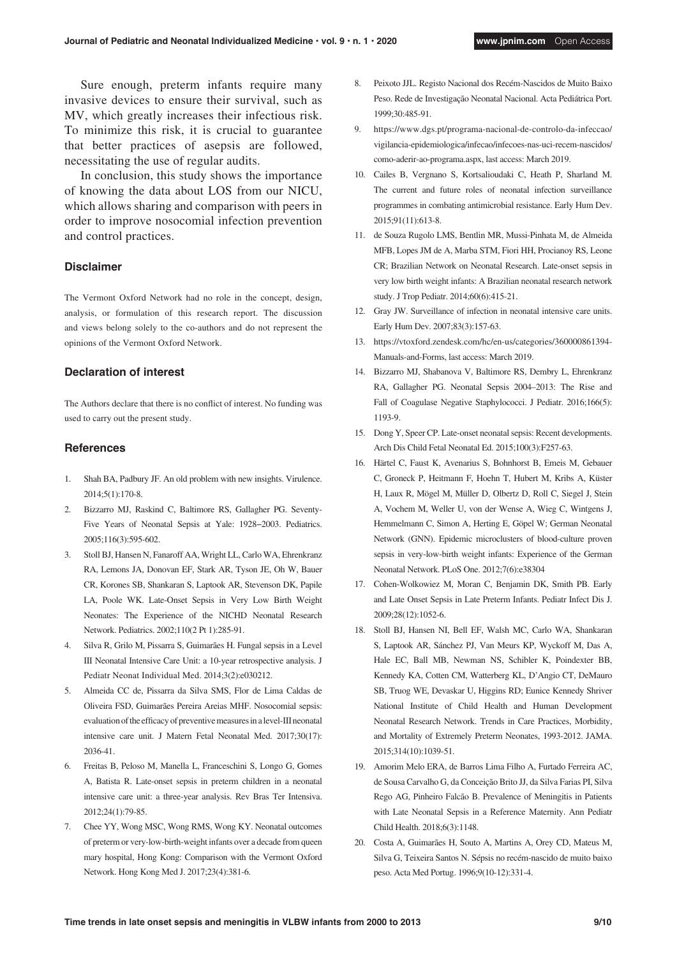Sure enough, preterm infants require many invasive devices to ensure their survival, such as MV, which greatly increases their infectious risk. To minimize this risk, it is crucial to guarantee that better practices of asepsis are followed, necessitating the use of regular audits.

In conclusion, this study shows the importance of knowing the data about LOS from our NICU, which allows sharing and comparison with peers in order to improve nosocomial infection prevention and control practices.

## **Disclaimer**

The Vermont Oxford Network had no role in the concept, design, analysis, or formulation of this research report. The discussion and views belong solely to the co-authors and do not represent the opinions of the Vermont Oxford Network.

#### **Declaration of interest**

The Authors declare that there is no conflict of interest. No funding was used to carry out the present study.

## **References**

- 1. Shah BA, Padbury JF. An old problem with new insights. Virulence. 2014;5(1):170-8.
- 2. Bizzarro MJ, Raskind C, Baltimore RS, Gallagher PG. Seventy-Five Years of Neonatal Sepsis at Yale: 1928−2003. Pediatrics. 2005;116(3):595-602.
- 3. Stoll BJ, Hansen N, Fanaroff AA, Wright LL, Carlo WA, Ehrenkranz RA, Lemons JA, Donovan EF, Stark AR, Tyson JE, Oh W, Bauer CR, Korones SB, Shankaran S, Laptook AR, Stevenson DK, Papile LA, Poole WK. Late-Onset Sepsis in Very Low Birth Weight Neonates: The Experience of the NICHD Neonatal Research Network. Pediatrics. 2002;110(2 Pt 1):285-91.
- 4. Silva R, Grilo M, Pissarra S, Guimarães H. Fungal sepsis in a Level III Neonatal Intensive Care Unit: a 10-year retrospective analysis. J Pediatr Neonat Individual Med. 2014;3(2):e030212.
- 5. Almeida CC de, Pissarra da Silva SMS, Flor de Lima Caldas de Oliveira FSD, Guimarães Pereira Areias MHF. Nosocomial sepsis: evaluation of the efficacy of preventive measures in a level-III neonatal intensive care unit. J Matern Fetal Neonatal Med. 2017;30(17): 2036-41.
- 6. Freitas B, Peloso M, Manella L, Franceschini S, Longo G, Gomes A, Batista R. Late-onset sepsis in preterm children in a neonatal intensive care unit: a three-year analysis. Rev Bras Ter Intensiva. 2012;24(1):79-85.
- 7. Chee YY, Wong MSC, Wong RMS, Wong KY. Neonatal outcomes of preterm or very-low-birth-weight infants over a decade from queen mary hospital, Hong Kong: Comparison with the Vermont Oxford Network. Hong Kong Med J. 2017;23(4):381-6.
- 8. Peixoto JJL. Registo Nacional dos Recém-Nascidos de Muito Baixo Peso. Rede de Investigação Neonatal Nacional. Acta Pediátrica Port. 1999;30:485-91.
- 9. [https://www.dgs.pt/programa-nacional-de-controlo-da-infeccao/](https://www.dgs.pt/programa-nacional-de-controlo-da-infeccao/vigilancia-epidemiologica/infecao/infecoes-nas-uci-recem-nascidos/como-aderir-ao-programa.aspx) [vigilancia-epidemiologica/infecao/infecoes-nas-uci-recem-nascidos/](https://www.dgs.pt/programa-nacional-de-controlo-da-infeccao/vigilancia-epidemiologica/infecao/infecoes-nas-uci-recem-nascidos/como-aderir-ao-programa.aspx) [como-aderir-ao-programa.aspx,](https://www.dgs.pt/programa-nacional-de-controlo-da-infeccao/vigilancia-epidemiologica/infecao/infecoes-nas-uci-recem-nascidos/como-aderir-ao-programa.aspx) last access: March 2019.
- 10. Cailes B, Vergnano S, Kortsalioudaki C, Heath P, Sharland M. The current and future roles of neonatal infection surveillance programmes in combating antimicrobial resistance. Early Hum Dev. 2015;91(11):613-8.
- 11. de Souza Rugolo LMS, Bentlin MR, Mussi-Pinhata M, de Almeida MFB, Lopes JM de A, Marba STM, Fiori HH, Procianoy RS, Leone CR; Brazilian Network on Neonatal Research. Late-onset sepsis in very low birth weight infants: A Brazilian neonatal research network study. J Trop Pediatr. 2014;60(6):415-21.
- 12. Gray JW. Surveillance of infection in neonatal intensive care units. Early Hum Dev. 2007;83(3):157-63.
- 13. [https://vtoxford.zendesk.com/hc/en-us/categories/360000861394-](https://vtoxford.zendesk.com/hc/en-us/categories/360000861394-Manuals-and-Forms) [Manuals-and-Forms,](https://vtoxford.zendesk.com/hc/en-us/categories/360000861394-Manuals-and-Forms) last access: March 2019.
- 14. Bizzarro MJ, Shabanova V, Baltimore RS, Dembry L, Ehrenkranz RA, Gallagher PG. Neonatal Sepsis 2004–2013: The Rise and Fall of Coagulase Negative Staphylococci. J Pediatr. 2016;166(5): 1193-9.
- 15. Dong Y, Speer CP. Late-onset neonatal sepsis: Recent developments. Arch Dis Child Fetal Neonatal Ed. 2015;100(3):F257-63.
- 16. Härtel C, Faust K, Avenarius S, Bohnhorst B, Emeis M, Gebauer C, Groneck P, Heitmann F, Hoehn T, Hubert M, Kribs A, Küster H, Laux R, Mögel M, Müller D, Olbertz D, Roll C, Siegel J, Stein A, Vochem M, Weller U, von der Wense A, Wieg C, Wintgens J, Hemmelmann C, Simon A, Herting E, Göpel W; German Neonatal Network (GNN). Epidemic microclusters of blood-culture proven sepsis in very-low-birth weight infants: Experience of the German Neonatal Network. PLoS One. 2012;7(6):e38304
- 17. Cohen-Wolkowiez M, Moran C, Benjamin DK, Smith PB. Early and Late Onset Sepsis in Late Preterm Infants. Pediatr Infect Dis J. 2009;28(12):1052-6.
- 18. Stoll BJ, Hansen NI, Bell EF, Walsh MC, Carlo WA, Shankaran S, Laptook AR, Sánchez PJ, Van Meurs KP, Wyckoff M, Das A, Hale EC, Ball MB, Newman NS, Schibler K, Poindexter BB, Kennedy KA, Cotten CM, Watterberg KL, D'Angio CT, DeMauro SB, Truog WE, Devaskar U, Higgins RD; Eunice Kennedy Shriver National Institute of Child Health and Human Development Neonatal Research Network. Trends in Care Practices, Morbidity, and Mortality of Extremely Preterm Neonates, 1993-2012. JAMA. 2015;314(10):1039-51.
- 19. Amorim Melo ERA, de Barros Lima Filho A, Furtado Ferreira AC, de Sousa Carvalho G, da Conceição Brito JJ, da Silva Farias PI, Silva Rego AG, Pinheiro Falcão B. Prevalence of Meningitis in Patients with Late Neonatal Sepsis in a Reference Maternity. Ann Pediatr Child Health. 2018;6(3):1148.
- 20. Costa A, Guimarães H, Souto A, Martins A, Orey CD, Mateus M, Silva G, Teixeira Santos N. Sépsis no recém-nascido de muito baixo peso. Acta Med Portug. 1996;9(10-12):331-4.